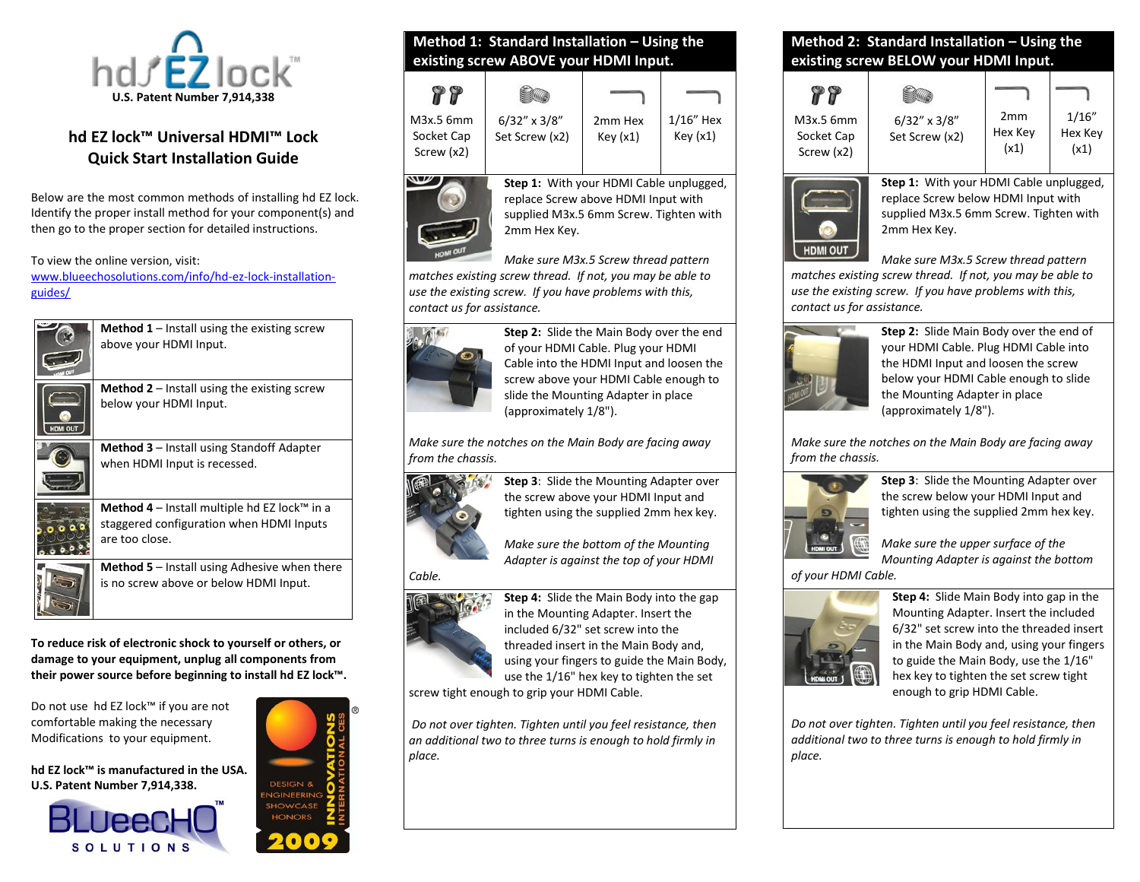

# **hd EZ lock™ Universal HDMI™ Lock Quick Start Installation Guide**

Below are the most common methods of installing hd EZ lock. Identify the proper install method for your component(s) and then go to the proper section for detailed instructions.

To view the online version, visit:

[www.blueechosolutions.com/info/hd-ez-lock-installation](http://www.blueechosolutions.com/info/hd-ez-lock-installation-guides/)[guides/](http://www.blueechosolutions.com/info/hd-ez-lock-installation-guides/)

above your HDMI Input.



**Method 2** – Install using the existing screw

**Method 1** – Install using the existing screw

below your HDMI Input.



**Method 3** – Install using Standoff Adapter when HDMI Input is recessed.



**Method 4** – Install multiple hd EZ lock™ in a staggered configuration when HDMI Inputs

are too close.

**Method 5** – Install using Adhesive when there is no screw above or below HDMI Input.

**To reduce risk of electronic shock to yourself or others, or damage to your equipment, unplug all components from their power source before beginning to install hd EZ lock™.**

Do not use hd EZ lock™ if you are not comfortable making the necessary Modifications to your equipment.

**hd EZ lock™ is manufactured in the USA. U.S. Patent Number 7,914,338.**





# **Method 1: Standard Installation – Using the existing screw ABOVE your HDMI Input.**

| M3x.5 6mm<br>Socket Cap<br>Screw (x2) | $6/32''$ x $3/8''$<br>Set Screw (x2)                                           | 2 <sub>mm</sub> Hex<br>Key(x1) | $1/16$ " Hex<br>Key(x1) |
|---------------------------------------|--------------------------------------------------------------------------------|--------------------------------|-------------------------|
|                                       | Step 1: With your HDMI Cable unplugged,<br>replace Screw above HDMI Input with |                                |                         |

supplied M3x.5 6mm Screw. Tighten with 2mm Hex Key. *Make sure M3x.5 Screw thread pattern* 

*matches existing screw thread. If not, you may be able to use the existing screw. If you have problems with this, contact us for assistance.*



**Step 2:** Slide the Main Body over the end of your HDMI Cable. Plug your HDMI Cable into the HDMI Input and loosen the screw above your HDMI Cable enough to slide the Mounting Adapter in place (approximately 1/8").

*Make sure the notches on the Main Body are facing away from the chassis.* 



**Step 3**: Slide the Mounting Adapter over the screw above your HDMI Input and tighten using the supplied 2mm hex key.

*Make sure the bottom of the Mounting Adapter is against the top of your HDMI* 

#### *Cable.*



**Step 4:** Slide the Main Body into the gap in the Mounting Adapter. Insert the included 6/32" set screw into the threaded insert in the Main Body and, using your fingers to guide the Main Body, use the 1/16" hex key to tighten the set

screw tight enough to grip your HDMI Cable.

*Do not over tighten. Tighten until you feel resistance, then an additional two to three turns is enough to hold firmly in place.*

#### **Method 2: Standard Installation – Using the existing screw BELOW your HDMI Input.**

| M3x.5 6mm<br>Socket Cap<br>Screw (x2) | $6/32''$ x $3/8''$<br>Set Screw (x2) | 2mm<br>Hex Key<br>(x1) | 1/16"<br>Hex Key<br>(x1) |
|---------------------------------------|--------------------------------------|------------------------|--------------------------|



**Step 1:** With your HDMI Cable unplugged, replace Screw below HDMI Input with supplied M3x.5 6mm Screw. Tighten with 2mm Hex Key.

*Make sure M3x.5 Screw thread pattern* 

*matches existing screw thread. If not, you may be able to use the existing screw. If you have problems with this, contact us for assistance.*



**Step 2:** Slide Main Body over the end of your HDMI Cable. Plug HDMI Cable into the HDMI Input and loosen the screw below your HDMI Cable enough to slide the Mounting Adapter in place (approximately 1/8").

*Make sure the notches on the Main Body are facing away from the chassis.* 



**Step 3**: Slide the Mounting Adapter over the screw below your HDMI Input and tighten using the supplied 2mm hex key.

*Make sure the upper surface of the Mounting Adapter is against the bottom*

*of your HDMI Cable.* 



**Step 4:** Slide Main Body into gap in the Mounting Adapter. Insert the included 6/32" set screw into the threaded insert in the Main Body and, using your fingers to guide the Main Body, use the 1/16" hex key to tighten the set screw tight enough to grip HDMI Cable.

*Do not over tighten. Tighten until you feel resistance, then additional two to three turns is enough to hold firmly in place.*